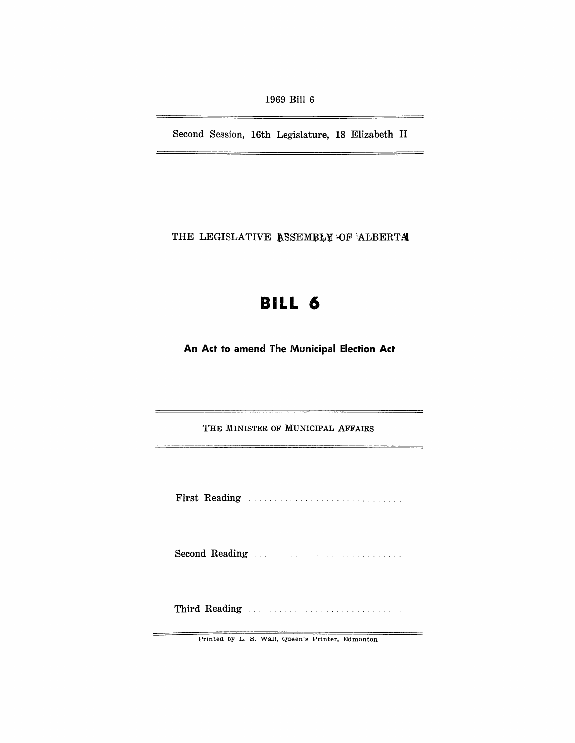1969 Bill 6

Second Session, 16th Legislature, 18 Elizabeth II

THE LEGISLATIVE ASSEMBLY OF ALBERTA

# **BILL 6**

An Act to amend The Municipal Election Act

THE MINISTER OF MUNICIPAL AFFAIRS

First Reading ............................. .

Second Reading ............................ .

Third Reading **Experiment Communist Property** of the set of the set of the set of the set of the set of the set of the set of the set of the set of the set of the set of the set of the set of the set of the set of the set

Printed by L. S. Wall, Queen's Printer, Edmonton

 $=$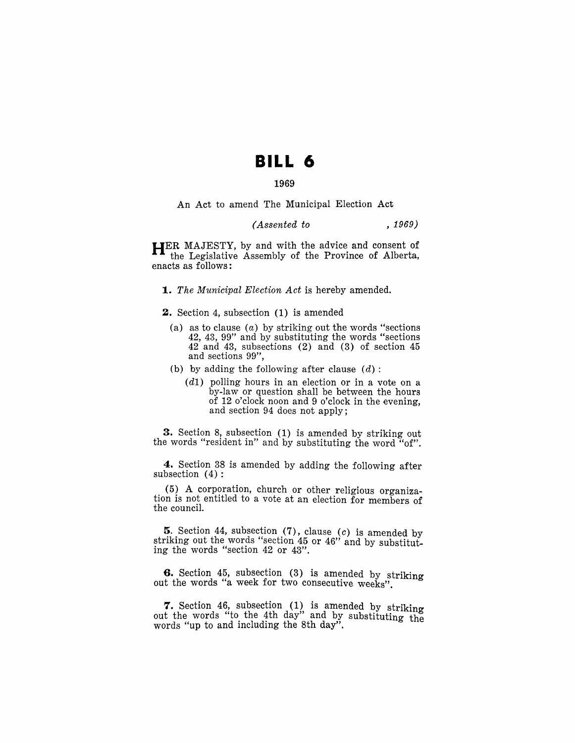## **BILL 6**

## 1969

An Act to amend The Municipal Election Act

## *(Assented to* , 1969)

HER MAJESTY, by and with the advice and consent of the Legislative Assembly of the Province of Alberta, enacts as follows:

*1. The Municipal Election Act* is hereby amended.

2. Section 4, subsection (1) is amended

- (a) as to clause  $(a)$  by striking out the words "sections" 42, 43, 99" and by substituting the words "sections 42 and 43, subsections (2) and (3) of section 45 and sections 99",
- (b) by adding the following after clause  $(d)$ :
	- (d1) polling hours in an election or in a vote on a by-law or question shall be between the hours of 12 o'clock noon and 9 o'clock in the evening, and section 94 does not apply;

3. Section 8, subsection (1) is amended by striking out the words "resident in" and by substituting the word "of".

4. Section 38 is amended by adding the following after subsection (4) :

(5) A corporation, church or other religious organization is not entitled to a vote at an election for members of the council.

5. Section 44, subsection  $(7)$ , clause  $(c)$  is amended by striking out the words "section 45 or 46" and by substituting the words "section 42 or 43".

6. Section 45, subsection (3) is amended by striking out the words "a week for two consecutive weeks".

7. Section 46, subsection (1) is amended by striking out the words "to the 4th day" and by substituting the words "up to and including the 8th day".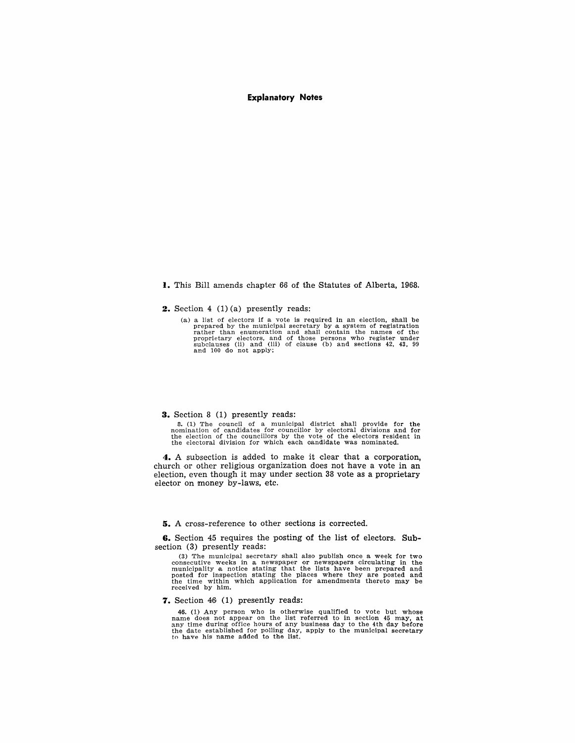## **Explanatory Notes**

## **I.** This Bill amends chapter 66 of the Statutes of Alberta, 1968.

**2.** Section 4 (1) (a) presently reads:

(a) a list of electors if a vote is required in an election, shall be prepared by the municipal secretary by a system of registration<br>rather than enumeration and shall contain the names of the<br>proprietary electors, and of those persons who register under<br>subclauses (ii) and (iii) of clause ( and 100 do not apply;

#### **3.** Section 8 (1) presently reads:

8. (1) The council of a municipal district shall provide for the nomination of candidates for councillor by electoral divisions and for the election of the electoral division for the electoral division for which each candi

**4.** A subsection is added to make it clear that a corporation, church or other religious organization does not have a vote in an election, even though it may under section 38 vote as a proprietary elector on money by-laws, etc.

**5.** A cross-reference to other sections is corrected.

**6.** Section 45 requires the posting of the list of electors. **Sub**section (3) presently reads:

(3) The municipal secretary shall also publish once a week for two consecutive weeks in a newspaper or newspapers circulating in the municipality a notice stating that the lists have been prepared and posted for inspection received by him.

## **7.** Section 46 (1) presently reads:

46. (1) Any person who is otherwise qualified to vote but whose name does not appear on the list referred to in section 45 may, at any time during office hours of any business day to the 4th day before the date established for polling day, apply to the municipal secretary to have his name added to the list.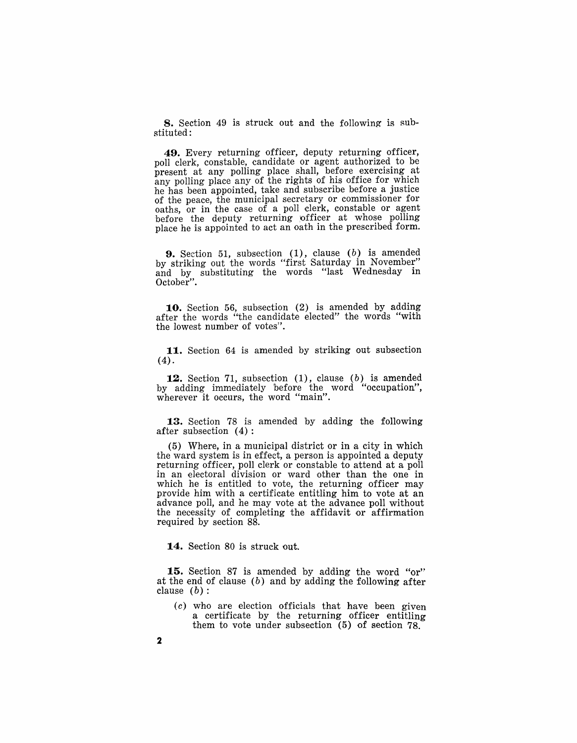**8.** Section 49 is struck out and the following is substituted:

**49.** Every returning officer, deputy returning officer, poll clerk, constable, candidate or agent authorized to be present at any polling place shall, before exercising at any polling place any of the rights of his office for which he has been appointed, take and subscribe before a justice of the peace, the municipal secretary or commissioner for oaths, or in the case of a poll clerk, constable or agent before the deputy returning officer at whose polling place he is appointed to act an oath in the prescribed form.

**9.** Section 51, subsection (1), clause (b) is amended by striking out the words "first Saturday in November" and by substituting the words "last Wednesday in October".

**10.** Section 56, subsection (2) is amended by adding after the words "'the candidate elected" the words "with the lowest number of votes".

**11.** Section 64 is amended by striking out subsection (4).

**12.** Section 71, subsection (1), clause (b) is amended by adding immediately before the word "occupation", wherever it occurs, the word "main".

**13.** Section 78 is amended by adding the following after subsection (4):

 $(5)$  Where, in a municipal district or in a city in which the ward system is in effect, a person is appointed a deputy returning officer, poll clerk or constable to attend at a poll in an electoral division or ward other than the one in which he is entitled to vote, the returning officer may provide him with a certificate entitling him to vote at an advance poll, and he may vote at the advance poll without the necessity of completing the affidavit or affirmation required by section 88.

**14.** Section 80 is struck out.

**15.** Section 87 is amended by adding the word "or'·' at the end of clause  $(b)$  and by adding the following after clause  $(b)$ :

 $(c)$  who are election officials that have been given a certificate by the returning officer entitling them to vote under subsection (5) of section 78.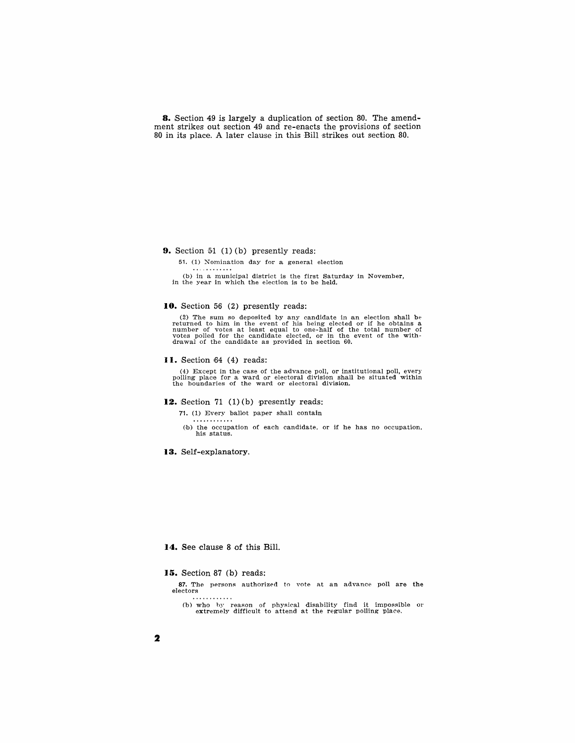**8.** Section 49 is largely a duplication of section 80. The amendment strikes out section 49 and re-enacts the provisions of section 80 in its place. A later clause in this Bill strikes out section 80.

**9.** Section  $51$  (1) (b) presently reads:

51. (1) Nomination day for a general election

(b) in a municipal district is the first Saturday in November, in the year in which the election is to be held.

## 10. Section 56 (2) presently reads:

(2) The sum so deposited by any candidate in an election shall be returned to him in the event of his being elected or if he obtains a number of votes at least equal to one-half of the total number of votes polled for the

#### II. Section 64 (4) reads:

(4) Except in the case of the advance poll, or institutional poll, every polling place for a ward or electoral division shall be situated within the boundaries of the ward or electoral diviswn.

## 12. Section 71 (1)(b) presently reads:

71. (1) Every ballot paper shall contain  $\ldots$ 

(b) the occupation of each candidate, or if he has no occupation, his status.

**13.** Self-explanatory.

### 14. See clause 8 of this Bill.

### **15.** Section 87 (b) reads:

87. The persons authorized to vote at an advance poll are the electors<br>....

(b) who hy reason of physical disability find it impossible or extremely difficult to attend at the regular polling place.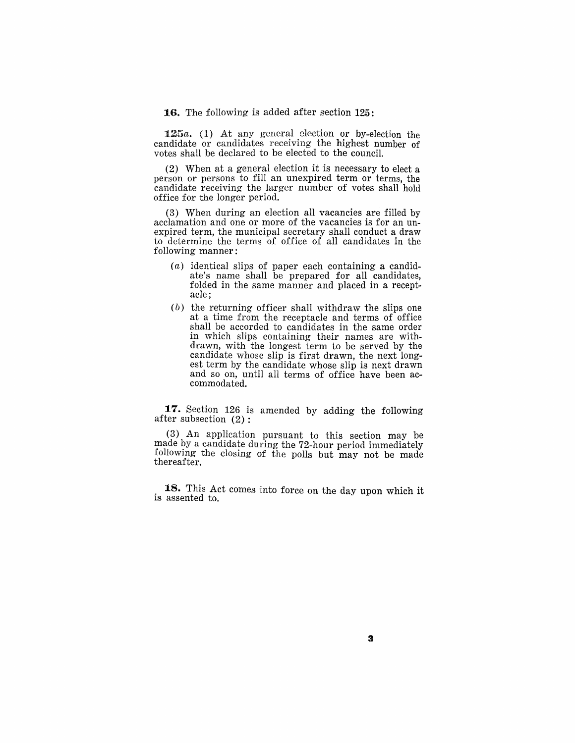**16.** The following is added after section 125:

*125a.* (1) At any general election or by-election the candidate or candidates receiving the highest number of votes shall be declared to be elected to the council.

(2) When at a general election it is necessary to elect a person or persons to fill an unexpired term or terms, the candidate receiving the larger number of votes shall hold office for the longer period.

(3) When during an election all vacancies are filled by acclamation and one or more of the vacancies is for an unexpired term, the municipal secretary shall conduct a draw to determine the terms of office of all candidates in the following manner:

- $(a)$  identical slips of paper each containing a candidate's name shall be prepared for all candidates, folded in the same manner and placed in a receptacle;
- (b) the returning officer shall withdraw the slips one at a time from the receptacle and terms of office shall be accorded to candidates in the same order in which slips containing their names are withdrawn, with the longest term to be served by the candidate whose slip is first drawn, the next longest term by the candidate whose slip is next drawn and so on, until all terms of office have been accommoda ted.

**17.** Section 126 is amended by adding the following after subsection (2):

(3) An application pursuant to this section may be made by a candidate during the 72-hour period immediately following the closing of the polls but may not be made thereafter.

. **18.** This Act comes into force on the day upon which it is assented to.